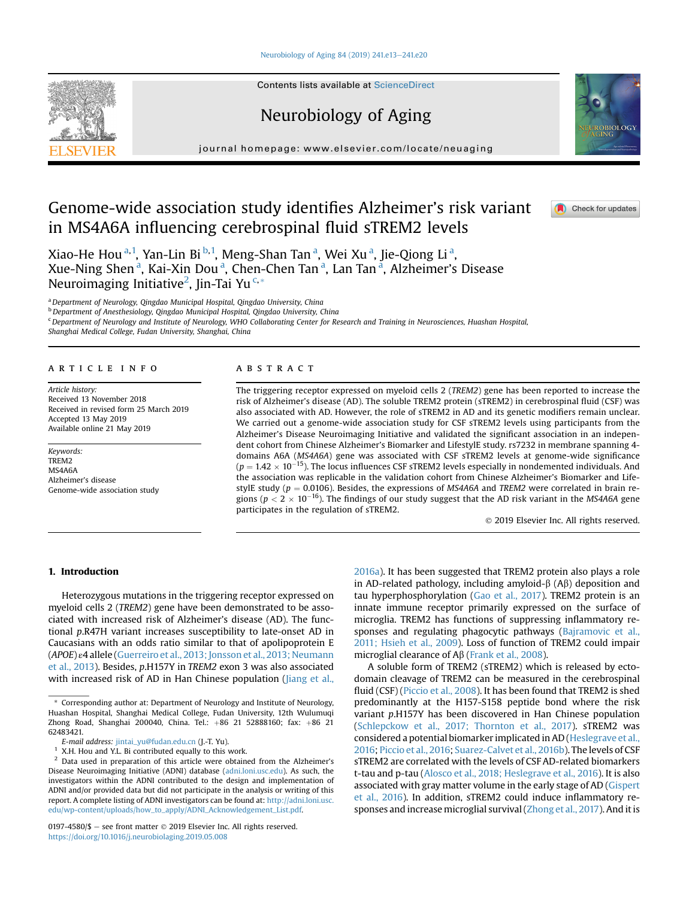#### [Neurobiology of Aging 84 \(2019\) 241.e13](https://doi.org/10.1016/j.neurobiolaging.2019.05.008)-[241.e20](https://doi.org/10.1016/j.neurobiolaging.2019.05.008)

Contents lists available at ScienceDirect

# Neurobiology of Aging

journal homepage: [www.elsevier.com/locate/neuaging](http://www.elsevier.com/locate/neuaging)

# Genome-wide association study identifies Alzheimer's risk variant in MS4A6A influencing cerebrospinal fluid sTREM2 levels

Xiao-He Hou<sup>a, 1</sup>, Yan-Lin Bi <sup>b, 1</sup>, Meng-Shan Tan <sup>a</sup>, Wei Xu <sup>a</sup>, Jie-Qiong Li <sup>a</sup>, Xue-Ning Shen<sup>a</sup>, Kai-Xin Dou<sup>a</sup>, Chen-Chen Tan<sup>a</sup>, Lan Tan<sup>a</sup>, Alzheimer's Disease Neuroimaging Initiative<sup>2</sup>, Jin-Tai Yu<sup>c,\*</sup>

<sup>a</sup> Department of Neurology, Qingdao Municipal Hospital, Qingdao University, China

<sup>b</sup> Department of Anesthesiology, Qingdao Municipal Hospital, Qingdao University, China

<sup>c</sup> Department of Neurology and Institute of Neurology, WHO Collaborating Center for Research and Training in Neurosciences, Huashan Hospital,

Shanghai Medical College, Fudan University, Shanghai, China

# article info

Article history: Received 13 November 2018 Received in revised form 25 March 2019 Accepted 13 May 2019 Available online 21 May 2019

Keywords: TREM2 MS4A6A Alzheimer's disease Genome-wide association study

# A B S T R A C T

The triggering receptor expressed on myeloid cells 2 (TREM2) gene has been reported to increase the risk of Alzheimer's disease (AD). The soluble TREM2 protein (sTREM2) in cerebrospinal fluid (CSF) was also associated with AD. However, the role of sTREM2 in AD and its genetic modifiers remain unclear. We carried out a genome-wide association study for CSF sTREM2 levels using participants from the Alzheimer's Disease Neuroimaging Initiative and validated the significant association in an independent cohort from Chinese Alzheimer's Biomarker and LifestylE study. rs7232 in membrane spanning 4 domains A6A (MS4A6A) gene was associated with CSF sTREM2 levels at genome-wide significance  $(p = 1.42 \times 10^{-15})$ . The locus influences CSF sTREM2 levels especially in nondemented individuals. And the association was replicable in the validation cohort from Chinese Alzheimer's Biomarker and LifestylE study ( $p = 0.0106$ ). Besides, the expressions of MS4A6A and TREM2 were correlated in brain regions ( $p < 2 \times 10^{-16}$ ). The findings of our study suggest that the AD risk variant in the MS4A6A gene participates in the regulation of sTREM2.

2019 Elsevier Inc. All rights reserved.

# 1. Introduction

Heterozygous mutations in the triggering receptor expressed on myeloid cells 2 (TREM2) gene have been demonstrated to be associated with increased risk of Alzheimer's disease (AD). The functional p.R47H variant increases susceptibility to late-onset AD in Caucasians with an odds ratio similar to that of apolipoprotein E (APOE) ε4 allele [\(Guerreiro et al., 2013; Jonsson et al., 2013; Neumann](#page-7-0) [et al., 2013](#page-7-0)). Besides, p.H157Y in TREM2 exon 3 was also associated with increased risk of AD in Han Chinese population ([Jiang et al.,](#page-7-0) [2016a\)](#page-7-0). It has been suggested that TREM2 protein also plays a role in AD-related pathology, including amyloid- $\beta$  (A $\beta$ ) deposition and tau hyperphosphorylation ([Gao et al., 2017](#page-6-0)). TREM2 protein is an innate immune receptor primarily expressed on the surface of microglia. TREM2 has functions of suppressing inflammatory responses and regulating phagocytic pathways ([Bajramovic et al.,](#page-6-0) [2011; Hsieh et al., 2009](#page-6-0)). Loss of function of TREM2 could impair microglial clearance of  $A\beta$  [\(Frank et al., 2008](#page-6-0)).

A soluble form of TREM2 (sTREM2) which is released by ectodomain cleavage of TREM2 can be measured in the cerebrospinal fluid (CSF) ([Piccio et al., 2008\)](#page-7-0). It has been found that TREM2 is shed predominantly at the H157-S158 peptide bond where the risk variant p.H157Y has been discovered in Han Chinese population [\(Schlepckow et al., 2017; Thornton et al., 2017\)](#page-7-0). sTREM2 was considered a potential biomarker implicated in AD [\(Heslegrave et al.,](#page-7-0) [2016](#page-7-0); [Piccio et al., 2016;](#page-7-0) [Suarez-Calvet et al., 2016b](#page-7-0)). The levels of CSF sTREM2 are correlated with the levels of CSF AD-related biomarkers t-tau and p-tau ([Alosco et al., 2018; Heslegrave et al., 2016](#page-6-0)). It is also associated with gray matter volume in the early stage of AD [\(Gispert](#page-6-0) [et al., 2016\)](#page-6-0). In addition, sTREM2 could induce inflammatory responses and increase microglial survival [\(Zhong et al., 2017\)](#page-7-0). And it is





Check for updates

Corresponding author at: Department of Neurology and Institute of Neurology, Huashan Hospital, Shanghai Medical College, Fudan University, 12th Wulumuqi Zhong Road, Shanghai 200040, China. Tel.: +86 21 52888160; fax: +86 21 62483421.

E-mail address: [jintai\\_yu@fudan.edu.cn](mailto:jintai_yu@fudan.edu.cn) (J.-T. Yu).

<sup>&</sup>lt;sup>1</sup> X.H. Hou and Y.L. Bi contributed equally to this work.<br><sup>2</sup> D<sub>11</sub> used in preparation of this article were obtained

<sup>2</sup> Data used in preparation of this article were obtained from the Alzheimer's Disease Neuroimaging Initiative (ADNI) database ([adni.loni.usc.edu](http://adni.loni.usc.edu)). As such, the investigators within the ADNI contributed to the design and implementation of ADNI and/or provided data but did not participate in the analysis or writing of this report. A complete listing of ADNI investigators can be found at: [http://adni.loni.usc.](http://adni.loni.usc.edu/wp-content/uploads/how_to_apply/ADNI_Acknowledgement_List.pdf) [edu/wp-content/uploads/how\\_to\\_apply/ADNI\\_Acknowledgement\\_List.pdf.](http://adni.loni.usc.edu/wp-content/uploads/how_to_apply/ADNI_Acknowledgement_List.pdf)

<sup>0197-4580/\$ -</sup> see front matter  $\odot$  2019 Elsevier Inc. All rights reserved. <https://doi.org/10.1016/j.neurobiolaging.2019.05.008>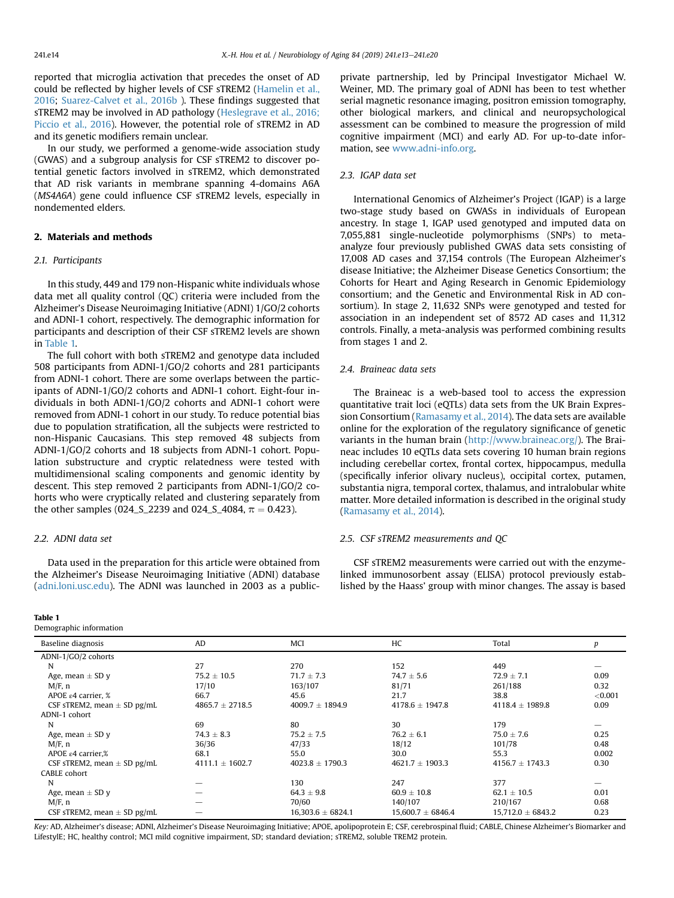<span id="page-1-0"></span>reported that microglia activation that precedes the onset of AD could be reflected by higher levels of CSF sTREM2 ([Hamelin et al.,](#page-7-0) [2016](#page-7-0); [Suarez-Calvet et al., 2016b](#page-7-0) ). These findings suggested that sTREM2 may be involved in AD pathology ([Heslegrave et al., 2016;](#page-7-0) [Piccio et al., 2016\)](#page-7-0). However, the potential role of sTREM2 in AD and its genetic modifiers remain unclear.

In our study, we performed a genome-wide association study (GWAS) and a subgroup analysis for CSF sTREM2 to discover potential genetic factors involved in sTREM2, which demonstrated that AD risk variants in membrane spanning 4-domains A6A (MS4A6A) gene could influence CSF sTREM2 levels, especially in nondemented elders.

# 2. Materials and methods

## 2.1. Participants

In this study, 449 and 179 non-Hispanic white individuals whose data met all quality control (QC) criteria were included from the Alzheimer's Disease Neuroimaging Initiative (ADNI) 1/GO/2 cohorts and ADNI-1 cohort, respectively. The demographic information for participants and description of their CSF sTREM2 levels are shown in Table 1.

The full cohort with both sTREM2 and genotype data included 508 participants from ADNI-1/GO/2 cohorts and 281 participants from ADNI-1 cohort. There are some overlaps between the participants of ADNI-1/GO/2 cohorts and ADNI-1 cohort. Eight-four individuals in both ADNI-1/GO/2 cohorts and ADNI-1 cohort were removed from ADNI-1 cohort in our study. To reduce potential bias due to population stratification, all the subjects were restricted to non-Hispanic Caucasians. This step removed 48 subjects from ADNI-1/GO/2 cohorts and 18 subjects from ADNI-1 cohort. Population substructure and cryptic relatedness were tested with multidimensional scaling components and genomic identity by descent. This step removed 2 participants from ADNI-1/GO/2 cohorts who were cryptically related and clustering separately from the other samples (024\_S\_2239 and 024\_S\_4084,  $\pi = 0.423$ ).

## 2.2. ADNI data set

Data used in the preparation for this article were obtained from the Alzheimer's Disease Neuroimaging Initiative (ADNI) database [\(adni.loni.usc.edu](http://adni.loni.usc.edu)). The ADNI was launched in 2003 as a public-

#### Table 1

Demographic information

private partnership, led by Principal Investigator Michael W. Weiner, MD. The primary goal of ADNI has been to test whether serial magnetic resonance imaging, positron emission tomography, other biological markers, and clinical and neuropsychological assessment can be combined to measure the progression of mild cognitive impairment (MCI) and early AD. For up-to-date information, see [www.adni-info.org.](http://www.adni-info.org)

## 2.3. IGAP data set

International Genomics of Alzheimer's Project (IGAP) is a large two-stage study based on GWASs in individuals of European ancestry. In stage 1, IGAP used genotyped and imputed data on 7,055,881 single-nucleotide polymorphisms (SNPs) to metaanalyze four previously published GWAS data sets consisting of 17,008 AD cases and 37,154 controls (The European Alzheimer's disease Initiative; the Alzheimer Disease Genetics Consortium; the Cohorts for Heart and Aging Research in Genomic Epidemiology consortium; and the Genetic and Environmental Risk in AD consortium). In stage 2, 11,632 SNPs were genotyped and tested for association in an independent set of 8572 AD cases and 11,312 controls. Finally, a meta-analysis was performed combining results from stages 1 and 2.

#### 2.4. Braineac data sets

The Braineac is a web-based tool to access the expression quantitative trait loci (eQTLs) data sets from the UK Brain Expression Consortium [\(Ramasamy et al., 2014\)](#page-7-0). The data sets are available online for the exploration of the regulatory significance of genetic variants in the human brain (<http://www.braineac.org/>). The Braineac includes 10 eQTLs data sets covering 10 human brain regions including cerebellar cortex, frontal cortex, hippocampus, medulla (specifically inferior olivary nucleus), occipital cortex, putamen, substantia nigra, temporal cortex, thalamus, and intralobular white matter. More detailed information is described in the original study ([Ramasamy et al., 2014\)](#page-7-0).

### 2.5. CSF sTREM2 measurements and QC

CSF sTREM2 measurements were carried out with the enzymelinked immunosorbent assay (ELISA) protocol previously established by the Haass' group with minor changes. The assay is based

| Baseline diagnosis              | <b>AD</b>           | <b>MCI</b>            | HC                    | Total                 | p       |
|---------------------------------|---------------------|-----------------------|-----------------------|-----------------------|---------|
| ADNI-1/GO/2 cohorts             |                     |                       |                       |                       |         |
| N                               | 27                  | 270                   | 152                   | 449                   |         |
| Age, mean $\pm$ SD y            | $75.2 \pm 10.5$     | $71.7 \pm 7.3$        | $74.7 \pm 5.6$        | $72.9 \pm 7.1$        | 0.09    |
| $M/F$ , n                       | 17/10               | 163/107               | 81/71                 | 261/188               | 0.32    |
| APOE $\varepsilon$ 4 carrier, % | 66.7                | 45.6                  | 21.7                  | 38.8                  | < 0.001 |
| CSF sTREM2, mean $\pm$ SD pg/mL | $4865.7 \pm 2718.5$ | $4009.7 \pm 1894.9$   | $4178.6 \pm 1947.8$   | $4118.4 \pm 1989.8$   | 0.09    |
| ADNI-1 cohort                   |                     |                       |                       |                       |         |
| N                               | 69                  | 80                    | 30                    | 179                   |         |
| Age, mean $\pm$ SD y            | $74.3 \pm 8.3$      | $75.2 \pm 7.5$        | $76.2 \pm 6.1$        | $75.0 \pm 7.6$        | 0.25    |
| $M/F$ , n                       | 36/36               | 47/33                 | 18/12                 | 101/78                | 0.48    |
| APOE $\varepsilon$ 4 carrier,%  | 68.1                | 55.0                  | 30.0                  | 55.3                  | 0.002   |
| CSF sTREM2, mean $\pm$ SD pg/mL | $4111.1 \pm 1602.7$ | $4023.8 \pm 1790.3$   | $4621.7 \pm 1903.3$   | $4156.7 \pm 1743.3$   | 0.30    |
| CABLE cohort                    |                     |                       |                       |                       |         |
| N                               |                     | 130                   | 247                   | 377                   |         |
| Age, mean $\pm$ SD y            |                     | $64.3 \pm 9.8$        | $60.9 \pm 10.8$       | $62.1 \pm 10.5$       | 0.01    |
| $M/F$ , n                       |                     | 70/60                 | 140/107               | 210/167               | 0.68    |
| CSF sTREM2, mean $\pm$ SD pg/mL |                     | $16,303.6 \pm 6824.1$ | $15,600.7 \pm 6846.4$ | $15,712.0 \pm 6843.2$ | 0.23    |

Key: AD, Alzheimer's disease; ADNI, Alzheimer's Disease Neuroimaging Initiative; APOE, apolipoprotein E; CSF, cerebrospinal fluid; CABLE, Chinese Alzheimer's Biomarker and LifestylE; HC, healthy control; MCI mild cognitive impairment, SD; standard deviation; sTREM2, soluble TREM2 protein.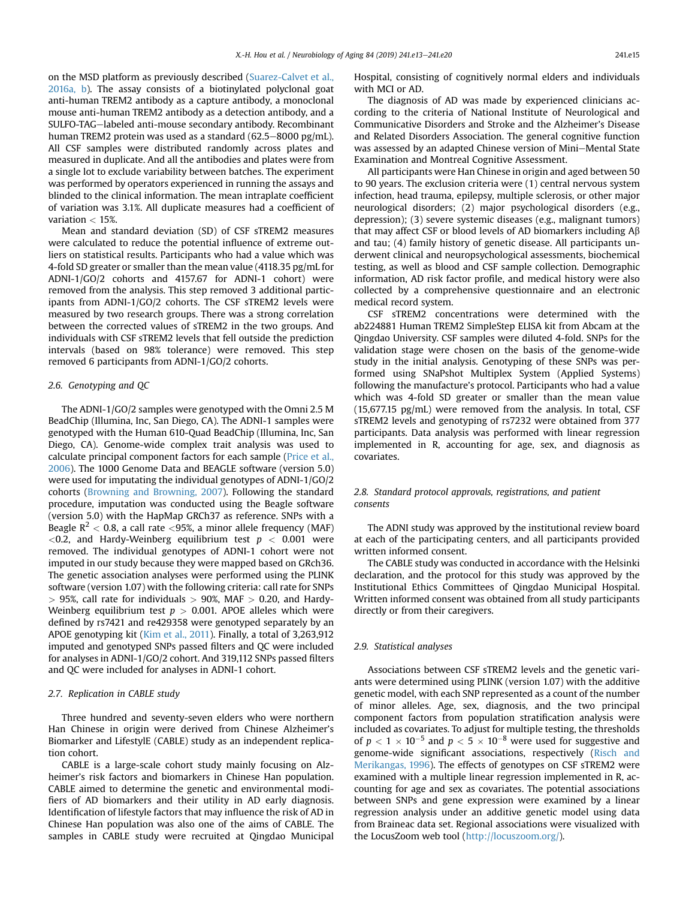on the MSD platform as previously described ([Suarez-Calvet et al.,](#page-7-0) [2016a, b](#page-7-0)). The assay consists of a biotinylated polyclonal goat anti-human TREM2 antibody as a capture antibody, a monoclonal mouse anti-human TREM2 antibody as a detection antibody, and a SULFO-TAG-labeled anti-mouse secondary antibody. Recombinant human TREM2 protein was used as a standard  $(62.5-8000 \text{ pg/mL})$ . All CSF samples were distributed randomly across plates and measured in duplicate. And all the antibodies and plates were from a single lot to exclude variability between batches. The experiment was performed by operators experienced in running the assays and blinded to the clinical information. The mean intraplate coefficient of variation was 3.1%. All duplicate measures had a coefficient of variation < 15%.

Mean and standard deviation (SD) of CSF sTREM2 measures were calculated to reduce the potential influence of extreme outliers on statistical results. Participants who had a value which was 4-fold SD greater or smaller than the mean value (4118.35 pg/mL for ADNI-1/GO/2 cohorts and 4157.67 for ADNI-1 cohort) were removed from the analysis. This step removed 3 additional participants from ADNI-1/GO/2 cohorts. The CSF sTREM2 levels were measured by two research groups. There was a strong correlation between the corrected values of sTREM2 in the two groups. And individuals with CSF sTREM2 levels that fell outside the prediction intervals (based on 98% tolerance) were removed. This step removed 6 participants from ADNI-1/GO/2 cohorts.

## 2.6. Genotyping and QC

The ADNI-1/GO/2 samples were genotyped with the Omni 2.5 M BeadChip (Illumina, Inc, San Diego, CA). The ADNI-1 samples were genotyped with the Human 610-Quad BeadChip (Illumina, Inc, San Diego, CA). Genome-wide complex trait analysis was used to calculate principal component factors for each sample ([Price et al.,](#page-7-0) [2006\)](#page-7-0). The 1000 Genome Data and BEAGLE software (version 5.0) were used for imputating the individual genotypes of ADNI-1/GO/2 cohorts [\(Browning and Browning, 2007](#page-6-0)). Following the standard procedure, imputation was conducted using the Beagle software (version 5.0) with the HapMap GRCh37 as reference. SNPs with a Beagle  $R^2$  < 0.8, a call rate <95%, a minor allele frequency (MAF)  $<$ 0.2, and Hardy-Weinberg equilibrium test  $p < 0.001$  were removed. The individual genotypes of ADNI-1 cohort were not imputed in our study because they were mapped based on GRch36. The genetic association analyses were performed using the PLINK software (version 1.07) with the following criteria: call rate for SNPs  $>$  95%, call rate for individuals  $>$  90%, MAF  $>$  0.20, and Hardy-Weinberg equilibrium test  $p > 0.001$ . APOE alleles which were defined by rs7421 and re429358 were genotyped separately by an APOE genotyping kit [\(Kim et al., 2011\)](#page-7-0). Finally, a total of 3,263,912 imputed and genotyped SNPs passed filters and QC were included for analyses in ADNI-1/GO/2 cohort. And 319,112 SNPs passed filters and QC were included for analyses in ADNI-1 cohort.

## 2.7. Replication in CABLE study

Three hundred and seventy-seven elders who were northern Han Chinese in origin were derived from Chinese Alzheimer's Biomarker and LifestylE (CABLE) study as an independent replication cohort.

CABLE is a large-scale cohort study mainly focusing on Alzheimer's risk factors and biomarkers in Chinese Han population. CABLE aimed to determine the genetic and environmental modifiers of AD biomarkers and their utility in AD early diagnosis. Identification of lifestyle factors that may influence the risk of AD in Chinese Han population was also one of the aims of CABLE. The samples in CABLE study were recruited at Qingdao Municipal

Hospital, consisting of cognitively normal elders and individuals with MCI or AD.

The diagnosis of AD was made by experienced clinicians according to the criteria of National Institute of Neurological and Communicative Disorders and Stroke and the Alzheimer's Disease and Related Disorders Association. The general cognitive function was assessed by an adapted Chinese version of Mini-Mental State Examination and Montreal Cognitive Assessment.

All participants were Han Chinese in origin and aged between 50 to 90 years. The exclusion criteria were (1) central nervous system infection, head trauma, epilepsy, multiple sclerosis, or other major neurological disorders; (2) major psychological disorders (e.g., depression); (3) severe systemic diseases (e.g., malignant tumors) that may affect CSF or blood levels of AD biomarkers including  $A\beta$ and tau; (4) family history of genetic disease. All participants underwent clinical and neuropsychological assessments, biochemical testing, as well as blood and CSF sample collection. Demographic information, AD risk factor profile, and medical history were also collected by a comprehensive questionnaire and an electronic medical record system.

CSF sTREM2 concentrations were determined with the ab224881 Human TREM2 SimpleStep ELISA kit from Abcam at the Qingdao University. CSF samples were diluted 4-fold. SNPs for the validation stage were chosen on the basis of the genome-wide study in the initial analysis. Genotyping of these SNPs was performed using SNaPshot Multiplex System (Applied Systems) following the manufacture's protocol. Participants who had a value which was 4-fold SD greater or smaller than the mean value (15,677.15 pg/mL) were removed from the analysis. In total, CSF sTREM2 levels and genotyping of rs7232 were obtained from 377 participants. Data analysis was performed with linear regression implemented in R, accounting for age, sex, and diagnosis as covariates.

## 2.8. Standard protocol approvals, registrations, and patient consents

The ADNI study was approved by the institutional review board at each of the participating centers, and all participants provided written informed consent.

The CABLE study was conducted in accordance with the Helsinki declaration, and the protocol for this study was approved by the Institutional Ethics Committees of Qingdao Municipal Hospital. Written informed consent was obtained from all study participants directly or from their caregivers.

## 2.9. Statistical analyses

Associations between CSF sTREM2 levels and the genetic variants were determined using PLINK (version 1.07) with the additive genetic model, with each SNP represented as a count of the number of minor alleles. Age, sex, diagnosis, and the two principal component factors from population stratification analysis were included as covariates. To adjust for multiple testing, the thresholds of  $p < 1 \times 10^{-5}$  and  $p < 5 \times 10^{-8}$  were used for suggestive and genome-wide significant associations, respectively ([Risch and](#page-7-0) [Merikangas, 1996\)](#page-7-0). The effects of genotypes on CSF sTREM2 were examined with a multiple linear regression implemented in R, accounting for age and sex as covariates. The potential associations between SNPs and gene expression were examined by a linear regression analysis under an additive genetic model using data from Braineac data set. Regional associations were visualized with the LocusZoom web tool ([http://locuszoom.org/\)](http://locuszoom.org/).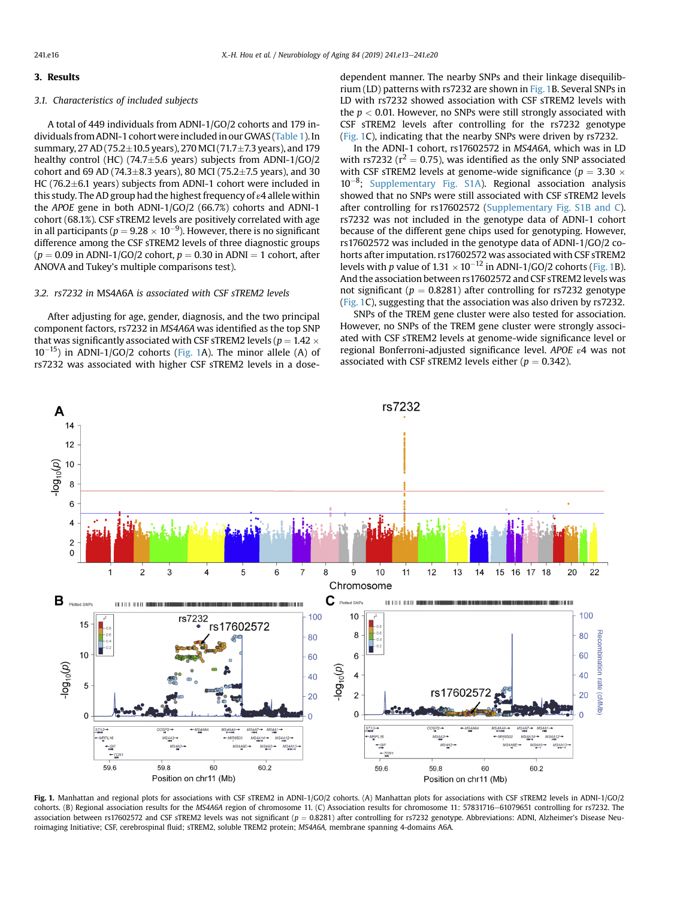## 3. Results

## 3.1. Characteristics of included subjects

A total of 449 individuals from ADNI-1/GO/2 cohorts and 179 individuals from ADNI-1 cohortwereincluded in our GWAS ([Table 1](#page-1-0)). In summary, 27 AD (75.2 $\pm$ 10.5 years), 270 MCI (71.7 $\pm$ 7.3 years), and 179 healthy control (HC) (74.7 $\pm$ 5.6 years) subjects from ADNI-1/GO/2 cohort and 69 AD (74.3 $\pm$ 8.3 years), 80 MCI (75.2 $\pm$ 7.5 years), and 30 HC (76.2 $\pm$ 6.1 years) subjects from ADNI-1 cohort were included in this study. The AD group had the highest frequency of ε4 allele within the APOE gene in both ADNI-1/GO/2 (66.7%) cohorts and ADNI-1 cohort (68.1%). CSF sTREM2 levels are positively correlated with age in all participants ( $p = 9.28 \times 10^{-9}$ ). However, there is no significant difference among the CSF sTREM2 levels of three diagnostic groups  $(p = 0.09$  in ADNI-1/GO/2 cohort,  $p = 0.30$  in ADNI = 1 cohort, after ANOVA and Tukey's multiple comparisons test).

#### 3.2. rs7232 in MS4A6A is associated with CSF sTREM2 levels

After adjusting for age, gender, diagnosis, and the two principal component factors, rs7232 in MS4A6A was identified as the top SNP that was significantly associated with CSF sTREM2 levels ( $p = 1.42 \times$  $10^{-15}$ ) in ADNI-1/GO/2 cohorts (Fig. 1A). The minor allele (A) of rs7232 was associated with higher CSF sTREM2 levels in a dose-

dependent manner. The nearby SNPs and their linkage disequilibrium (LD) patterns with rs7232 are shown in Fig. 1B. Several SNPs in LD with rs7232 showed association with CSF sTREM2 levels with the  $p < 0.01$ . However, no SNPs were still strongly associated with CSF sTREM2 levels after controlling for the rs7232 genotype (Fig. 1C), indicating that the nearby SNPs were driven by rs7232.

In the ADNI-1 cohort, rs17602572 in MS4A6A, which was in LD with rs7232 ( $r^2 = 0.75$ ), was identified as the only SNP associated with CSF sTREM2 levels at genome-wide significance ( $p = 3.30 \times$  $10^{-8}$ ; Supplementary Fig. S1A). Regional association analysis showed that no SNPs were still associated with CSF sTREM2 levels after controlling for rs17602572 (Supplementary Fig. S1B and C). rs7232 was not included in the genotype data of ADNI-1 cohort because of the different gene chips used for genotyping. However, rs17602572 was included in the genotype data of ADNI-1/GO/2 cohorts after imputation. rs17602572 was associated with CSF sTREM2 levels with p value of  $1.31 \times 10^{-12}$  in ADNI-1/GO/2 cohorts (Fig. 1B). And the association between rs17602572 and CSF sTREM2 levels was not significant ( $p = 0.8281$ ) after controlling for rs7232 genotype (Fig. 1C), suggesting that the association was also driven by rs7232.

SNPs of the TREM gene cluster were also tested for association. However, no SNPs of the TREM gene cluster were strongly associated with CSF sTREM2 levels at genome-wide significance level or regional Bonferroni-adjusted significance level. APOE ε4 was not associated with CSF sTREM2 levels either ( $p = 0.342$ ).



Fig. 1. Manhattan and regional plots for associations with CSF sTREM2 in ADNI-1/GO/2 cohorts. (A) Manhattan plots for associations with CSF sTREM2 levels in ADNI-1/GO/2 cohorts. (B) Regional association results for the MS4A6A region of chromosome 11. (C) Association results for chromosome 11: 57831716-61079651 controlling for rs7232. The association between rs17602572 and CSF sTREM2 levels was not significant ( $p = 0.8281$ ) after controlling for rs7232 genotype. Abbreviations: ADNI, Alzheimer's Disease Neuroimaging Initiative; CSF, cerebrospinal fluid; sTREM2, soluble TREM2 protein; MS4A6A, membrane spanning 4-domains A6A.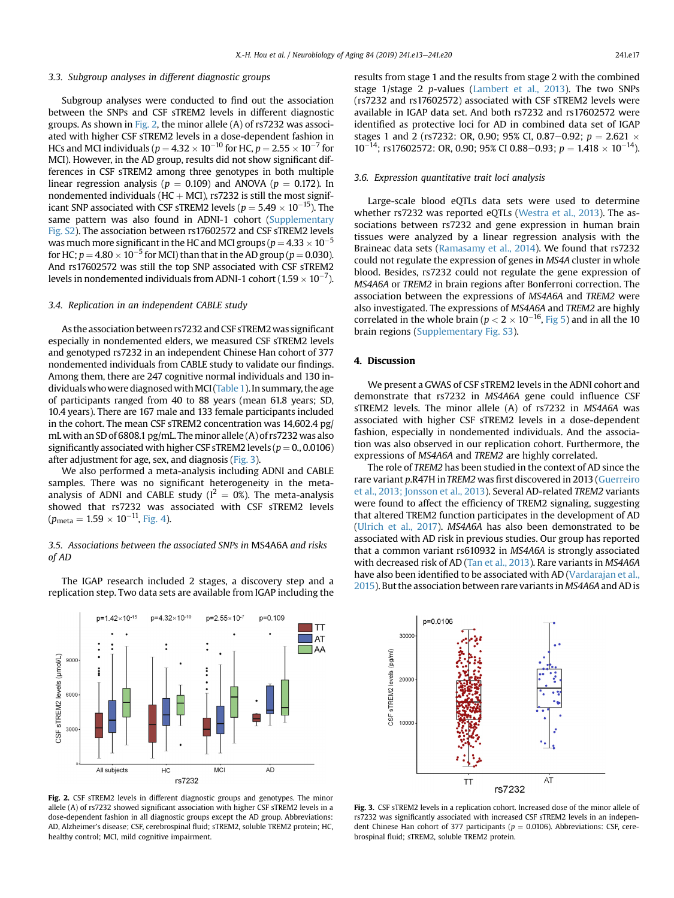## 3.3. Subgroup analyses in different diagnostic groups

Subgroup analyses were conducted to find out the association between the SNPs and CSF sTREM2 levels in different diagnostic groups. As shown in Fig. 2, the minor allele (A) of rs7232 was associated with higher CSF sTREM2 levels in a dose-dependent fashion in HCs and MCI individuals ( $p = 4.32 \times 10^{-10}$  for HC,  $p = 2.55 \times 10^{-7}$  for MCI). However, in the AD group, results did not show significant differences in CSF sTREM2 among three genotypes in both multiple linear regression analysis ( $p = 0.109$ ) and ANOVA ( $p = 0.172$ ). In nondemented individuals (HC  $+$  MCI), rs7232 is still the most significant SNP associated with CSF sTREM2 levels ( $p = 5.49 \times 10^{-15}$ ). The same pattern was also found in ADNI-1 cohort (Supplementary Fig. S2). The association between rs17602572 and CSF sTREM2 levels was much more significant in the HC and MCI groups ( $p$  = 4.33  $\times$  10 $^{-5}$ for HC;  $p = 4.80 \times 10^{-5}$  for MCI) than that in the AD group ( $p = 0.030$ ). And rs17602572 was still the top SNP associated with CSF sTREM2 levels in nondemented individuals from ADNI-1 cohort (1.59  $\times$  10 $^{-7}$ ).

## 3.4. Replication in an independent CABLE study

As the association between rs7232 and CSF sTREM2was significant especially in nondemented elders, we measured CSF sTREM2 levels and genotyped rs7232 in an independent Chinese Han cohort of 377 nondemented individuals from CABLE study to validate our findings. Among them, there are 247 cognitive normal individuals and 130 in-dividuals who were diagnosed with MCI ([Table 1\)](#page-1-0). In summary, the age of participants ranged from 40 to 88 years (mean 61.8 years; SD, 10.4 years). There are 167 male and 133 female participants included in the cohort. The mean CSF sTREM2 concentration was 14,602.4 pg/ mL with an SD of 6808.1 pg/mL. The minor allele (A) of rs7232 was also significantly associated with higher CSF sTREM2 levels ( $p = 0., 0.0106$ ) after adjustment for age, sex, and diagnosis (Fig. 3).

We also performed a meta-analysis including ADNI and CABLE samples. There was no significant heterogeneity in the metaanalysis of ADNI and CABLE study ( $I^2 = 0$ %). The meta-analysis showed that rs7232 was associated with CSF sTREM2 levels  $(p_{\text{meta}} = 1.59 \times 10^{-11}, \text{Fig. 4}).$  $(p_{\text{meta}} = 1.59 \times 10^{-11}, \text{Fig. 4}).$  $(p_{\text{meta}} = 1.59 \times 10^{-11}, \text{Fig. 4}).$ 

## 3.5. Associations between the associated SNPs in MS4A6A and risks of AD

The IGAP research included 2 stages, a discovery step and a replication step. Two data sets are available from IGAP including the

 $p=2.55\times10^{-7}$ 

 $p=0.109$ 

 $n=4.32\times10^{-10}$ 

 $p=1.42\times10^{-15}$ 

results from stage 1 and the results from stage 2 with the combined stage 1/stage 2 p-values ([Lambert et al., 2013\)](#page-7-0). The two SNPs (rs7232 and rs17602572) associated with CSF sTREM2 levels were available in IGAP data set. And both rs7232 and rs17602572 were identified as protective loci for AD in combined data set of IGAP stages 1 and 2 (rs7232: OR, 0.90; 95% CI, 0.87–0.92;  $p = 2.621 \times 10^{14}$  $10^{-14}$ ; rs17602572: OR, 0.90; 95% CI 0.88–0.93;  $p = 1.418 \times 10^{-14}$ ).

#### 3.6. Expression quantitative trait loci analysis

Large-scale blood eQTLs data sets were used to determine whether rs7232 was reported eQTLs [\(Westra et al., 2013](#page-7-0)). The associations between rs7232 and gene expression in human brain tissues were analyzed by a linear regression analysis with the Braineac data sets ([Ramasamy et al., 2014\)](#page-7-0). We found that rs7232 could not regulate the expression of genes in MS4A cluster in whole blood. Besides, rs7232 could not regulate the gene expression of MS4A6A or TREM2 in brain regions after Bonferroni correction. The association between the expressions of MS4A6A and TREM2 were also investigated. The expressions of MS4A6A and TREM2 are highly correlated in the whole brain ( $p < 2 \times 10^{-16}$ , [Fig 5\)](#page-5-0) and in all the 10 brain regions (Supplementary Fig. S3).

## 4. Discussion

We present a GWAS of CSF sTREM2 levels in the ADNI cohort and demonstrate that rs7232 in MS4A6A gene could influence CSF sTREM2 levels. The minor allele (A) of rs7232 in MS4A6A was associated with higher CSF sTREM2 levels in a dose-dependent fashion, especially in nondemented individuals. And the association was also observed in our replication cohort. Furthermore, the expressions of MS4A6A and TREM2 are highly correlated.

The role of TREM2 has been studied in the context of AD since the rare variant p.R47H in TREM2 was first discovered in 2013 ([Guerreiro](#page-7-0) [et al., 2013; Jonsson et al., 2013](#page-7-0)). Several AD-related TREM2 variants were found to affect the efficiency of TREM2 signaling, suggesting that altered TREM2 function participates in the development of AD [\(Ulrich et al., 2017\)](#page-7-0). MS4A6A has also been demonstrated to be associated with AD risk in previous studies. Our group has reported that a common variant rs610932 in MS4A6A is strongly associated with decreased risk of AD ([Tan et al., 2013\)](#page-7-0). Rare variants in MS4A6A have also been identified to be associated with AD ([Vardarajan et al.,](#page-7-0) [2015](#page-7-0)). But the association between rare variants in MS4A6A and AD is



Fig. 2. CSF sTREM2 levels in different diagnostic groups and genotypes. The minor allele (A) of rs7232 showed significant association with higher CSF sTREM2 levels in a dose-dependent fashion in all diagnostic groups except the AD group. Abbreviations: AD, Alzheimer's disease; CSF, cerebrospinal fluid; sTREM2, soluble TREM2 protein; HC, healthy control; MCI, mild cognitive impairment.

rs7232



Fig. 3. CSF sTREM2 levels in a replication cohort. Increased dose of the minor allele of rs7232 was significantly associated with increased CSF sTREM2 levels in an independent Chinese Han cohort of 377 participants ( $p = 0.0106$ ). Abbreviations: CSF, cerebrospinal fluid; sTREM2, soluble TREM2 protein.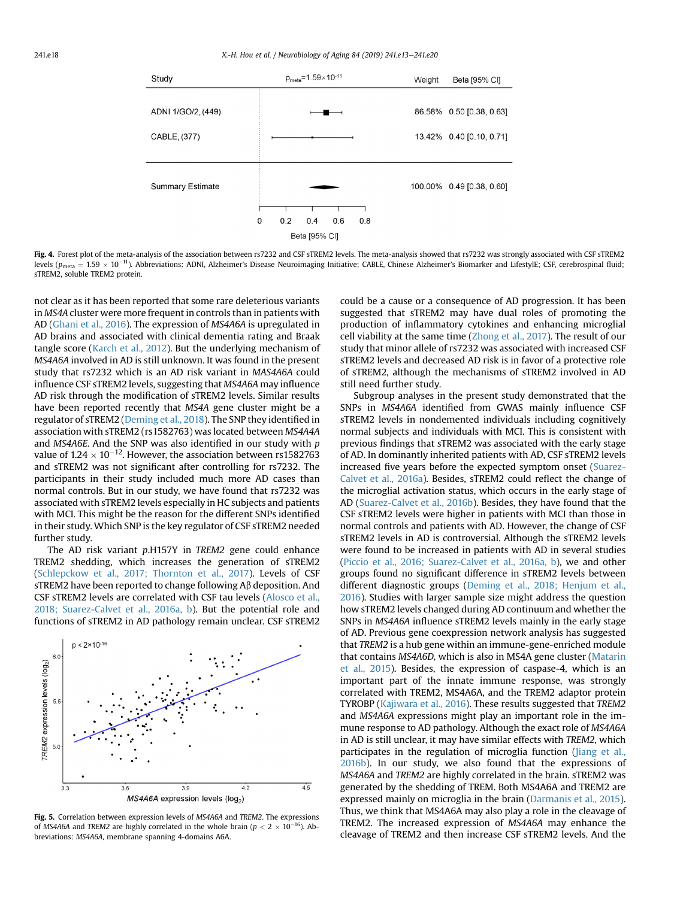<span id="page-5-0"></span>

Fig. 4. Forest plot of the meta-analysis of the association between rs7232 and CSF sTREM2 levels. The meta-analysis showed that rs7232 was strongly associated with CSF sTREM2 levels (p<sub>meta</sub> = 1.59  $\times$  10<sup>–11</sup>). Abbreviations: ADNI, Alzheimer's Disease Neuroimaging Initiative; CABLE, Chinese Alzheimer's Biomarker and LifestylE; CSF, cerebrospinal fluid; sTREM2, soluble TREM2 protein.

not clear as it has been reported that some rare deleterious variants in MS4A cluster were more frequent in controls than in patients with AD ([Ghani et al., 2016](#page-6-0)). The expression of MS4A6A is upregulated in AD brains and associated with clinical dementia rating and Braak tangle score [\(Karch et al., 2012\)](#page-7-0). But the underlying mechanism of MS4A6A involved in AD is still unknown. It was found in the present study that rs7232 which is an AD risk variant in MAS4A6A could influence CSF sTREM2 levels, suggesting that MS4A6A may influence AD risk through the modification of sTREM2 levels. Similar results have been reported recently that MS4A gene cluster might be a regulator of sTREM2 ([Deming et al., 2018\)](#page-6-0). The SNP they identified in association with sTREM2 (rs1582763) was located between MS4A4A and MS4A6E. And the SNP was also identified in our study with p value of  $1.24 \times 10^{-12}$ . However, the association between rs1582763 and sTREM2 was not significant after controlling for rs7232. The participants in their study included much more AD cases than normal controls. But in our study, we have found that rs7232 was associated with sTREM2 levels especially in HC subjects and patients with MCI. This might be the reason for the different SNPs identified in their study. Which SNP is the key regulator of CSF sTREM2 needed further study.

The AD risk variant p.H157Y in TREM2 gene could enhance TREM2 shedding, which increases the generation of sTREM2 [\(Schlepckow et al., 2017; Thornton et al., 2017](#page-7-0)). Levels of CSF sTREM2 have been reported to change following  $A\beta$  deposition. And CSF sTREM2 levels are correlated with CSF tau levels ([Alosco et al.,](#page-6-0) [2018; Suarez-Calvet et al., 2016a, b](#page-6-0)). But the potential role and functions of sTREM2 in AD pathology remain unclear. CSF sTREM2



Fig. 5. Correlation between expression levels of MS4A6A and TREM2. The expressions of MS4A6A and TREM2 are highly correlated in the whole brain ( $p < 2 \times 10^{-16}$ ). Abbreviations: MS4A6A, membrane spanning 4-domains A6A.

could be a cause or a consequence of AD progression. It has been suggested that sTREM2 may have dual roles of promoting the production of inflammatory cytokines and enhancing microglial cell viability at the same time [\(Zhong et al., 2017](#page-7-0)). The result of our study that minor allele of rs7232 was associated with increased CSF sTREM2 levels and decreased AD risk is in favor of a protective role of sTREM2, although the mechanisms of sTREM2 involved in AD still need further study.

Subgroup analyses in the present study demonstrated that the SNPs in MS4A6A identified from GWAS mainly influence CSF sTREM2 levels in nondemented individuals including cognitively normal subjects and individuals with MCI. This is consistent with previous findings that sTREM2 was associated with the early stage of AD. In dominantly inherited patients with AD, CSF sTREM2 levels increased five years before the expected symptom onset [\(Suarez-](#page-7-0)[Calvet et al., 2016a\)](#page-7-0). Besides, sTREM2 could reflect the change of the microglial activation status, which occurs in the early stage of AD ([Suarez-Calvet et al., 2016b\)](#page-7-0). Besides, they have found that the CSF sTREM2 levels were higher in patients with MCI than those in normal controls and patients with AD. However, the change of CSF sTREM2 levels in AD is controversial. Although the sTREM2 levels were found to be increased in patients with AD in several studies ([Piccio et al., 2016; Suarez-Calvet et al., 2016a, b](#page-7-0)), we and other groups found no significant difference in sTREM2 levels between different diagnostic groups ([Deming et al., 2018; Henjum et al.,](#page-6-0) [2016\)](#page-6-0). Studies with larger sample size might address the question how sTREM2 levels changed during AD continuum and whether the SNPs in MS4A6A influence sTREM2 levels mainly in the early stage of AD. Previous gene coexpression network analysis has suggested that TREM2 is a hub gene within an immune-gene-enriched module that contains MS4A6D, which is also in MS4A gene cluster ([Matarin](#page-7-0) [et al., 2015](#page-7-0)). Besides, the expression of caspase-4, which is an important part of the innate immune response, was strongly correlated with TREM2, MS4A6A, and the TREM2 adaptor protein TYROBP [\(Kajiwara et al., 2016\)](#page-7-0). These results suggested that TREM2 and MS4A6A expressions might play an important role in the immune response to AD pathology. Although the exact role of MS4A6A in AD is still unclear, it may have similar effects with TREM2, which participates in the regulation of microglia function [\(Jiang et al.,](#page-7-0) [2016b\)](#page-7-0). In our study, we also found that the expressions of MS4A6A and TREM2 are highly correlated in the brain. sTREM2 was generated by the shedding of TREM. Both MS4A6A and TREM2 are expressed mainly on microglia in the brain [\(Darmanis et al., 2015\)](#page-6-0). Thus, we think that MS4A6A may also play a role in the cleavage of TREM2. The increased expression of MS4A6A may enhance the cleavage of TREM2 and then increase CSF sTREM2 levels. And the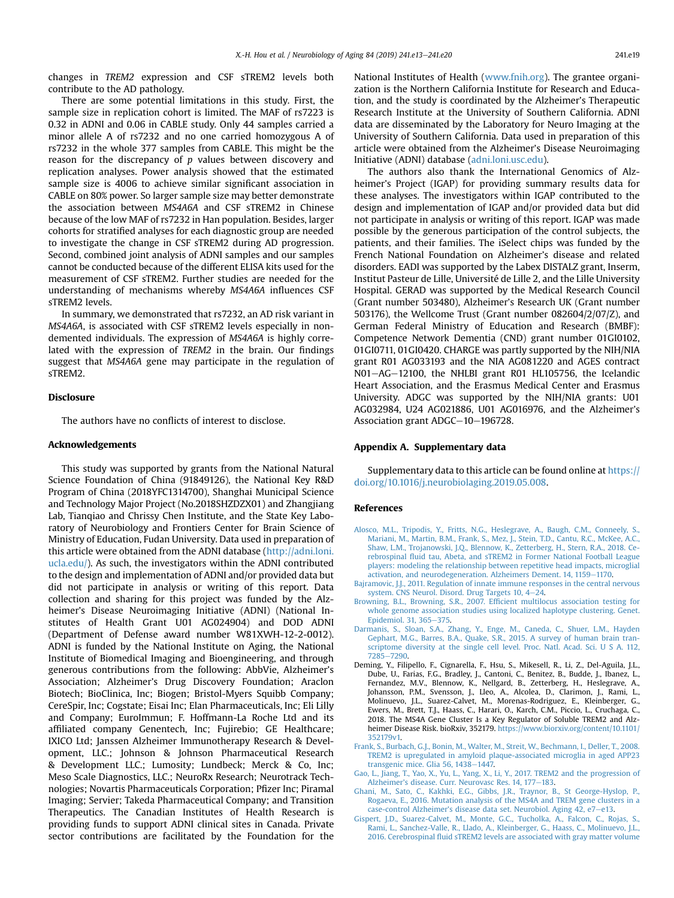<span id="page-6-0"></span>changes in TREM2 expression and CSF sTREM2 levels both contribute to the AD pathology.

There are some potential limitations in this study. First, the sample size in replication cohort is limited. The MAF of rs7223 is 0.32 in ADNI and 0.06 in CABLE study. Only 44 samples carried a minor allele A of rs7232 and no one carried homozygous A of rs7232 in the whole 377 samples from CABLE. This might be the reason for the discrepancy of  $p$  values between discovery and replication analyses. Power analysis showed that the estimated sample size is 4006 to achieve similar significant association in CABLE on 80% power. So larger sample size may better demonstrate the association between MS4A6A and CSF sTREM2 in Chinese because of the low MAF of rs7232 in Han population. Besides, larger cohorts for stratified analyses for each diagnostic group are needed to investigate the change in CSF sTREM2 during AD progression. Second, combined joint analysis of ADNI samples and our samples cannot be conducted because of the different ELISA kits used for the measurement of CSF sTREM2. Further studies are needed for the understanding of mechanisms whereby MS4A6A influences CSF sTREM2 levels.

In summary, we demonstrated that rs7232, an AD risk variant in MS4A6A, is associated with CSF sTREM2 levels especially in nondemented individuals. The expression of MS4A6A is highly correlated with the expression of TREM2 in the brain. Our findings suggest that MS4A6A gene may participate in the regulation of sTREM2.

## Disclosure

The authors have no conflicts of interest to disclose.

#### Acknowledgements

This study was supported by grants from the National Natural Science Foundation of China (91849126), the National Key R&D Program of China (2018YFC1314700), Shanghai Municipal Science and Technology Major Project (No.2018SHZDZX01) and Zhangjiang Lab, Tianqiao and Chrissy Chen Institute, and the State Key Laboratory of Neurobiology and Frontiers Center for Brain Science of Ministry of Education, Fudan University. Data used in preparation of this article were obtained from the ADNI database ([http://adni.loni.](http://adni.loni.ucla.edu/) [ucla.edu/\)](http://adni.loni.ucla.edu/). As such, the investigators within the ADNI contributed to the design and implementation of ADNI and/or provided data but did not participate in analysis or writing of this report. Data collection and sharing for this project was funded by the Alzheimer's Disease Neuroimaging Initiative (ADNI) (National Institutes of Health Grant U01 AG024904) and DOD ADNI (Department of Defense award number W81XWH-12-2-0012). ADNI is funded by the National Institute on Aging, the National Institute of Biomedical Imaging and Bioengineering, and through generous contributions from the following: AbbVie, Alzheimer's Association; Alzheimer's Drug Discovery Foundation; Araclon Biotech; BioClinica, Inc; Biogen; Bristol-Myers Squibb Company; CereSpir, Inc; Cogstate; Eisai Inc; Elan Pharmaceuticals, Inc; Eli Lilly and Company; EuroImmun; F. Hoffmann-La Roche Ltd and its affiliated company Genentech, Inc; Fujirebio; GE Healthcare; IXICO Ltd; Janssen Alzheimer Immunotherapy Research & Development, LLC.; Johnson & Johnson Pharmaceutical Research & Development LLC.; Lumosity; Lundbeck; Merck & Co, Inc; Meso Scale Diagnostics, LLC.; NeuroRx Research; Neurotrack Technologies; Novartis Pharmaceuticals Corporation; Pfizer Inc; Piramal Imaging; Servier; Takeda Pharmaceutical Company; and Transition Therapeutics. The Canadian Institutes of Health Research is providing funds to support ADNI clinical sites in Canada. Private sector contributions are facilitated by the Foundation for the

National Institutes of Health [\(www.fnih.org\)](http://www.fnih.org). The grantee organization is the Northern California Institute for Research and Education, and the study is coordinated by the Alzheimer's Therapeutic Research Institute at the University of Southern California. ADNI data are disseminated by the Laboratory for Neuro Imaging at the University of Southern California. Data used in preparation of this article were obtained from the Alzheimer's Disease Neuroimaging Initiative (ADNI) database [\(adni.loni.usc.edu\)](http://adni.loni.usc.edu).

The authors also thank the International Genomics of Alzheimer's Project (IGAP) for providing summary results data for these analyses. The investigators within IGAP contributed to the design and implementation of IGAP and/or provided data but did not participate in analysis or writing of this report. IGAP was made possible by the generous participation of the control subjects, the patients, and their families. The iSelect chips was funded by the French National Foundation on Alzheimer's disease and related disorders. EADI was supported by the Labex DISTALZ grant, Inserm, Institut Pasteur de Lille, Université de Lille 2, and the Lille University Hospital. GERAD was supported by the Medical Research Council (Grant number 503480), Alzheimer's Research UK (Grant number 503176), the Wellcome Trust (Grant number 082604/2/07/Z), and German Federal Ministry of Education and Research (BMBF): Competence Network Dementia (CND) grant number 01GI0102, 01GI0711, 01GI0420. CHARGE was partly supported by the NIH/NIA grant R01 AG033193 and the NIA AG081220 and AGES contract N01-AG-12100, the NHLBI grant R01 HL105756, the Icelandic Heart Association, and the Erasmus Medical Center and Erasmus University. ADGC was supported by the NIH/NIA grants: U01 AG032984, U24 AG021886, U01 AG016976, and the Alzheimer's Association grant  $ADGC-10-196728$ .

#### Appendix A. Supplementary data

Supplementary data to this article can be found online at [https://](https://doi.org/10.1016/j.neurobiolaging.2019.05.008) [doi.org/10.1016/j.neurobiolaging.2019.05.008](https://doi.org/10.1016/j.neurobiolaging.2019.05.008).

### References

- [Alosco, M.L., Tripodis, Y., Fritts, N.G., Heslegrave, A., Baugh, C.M., Conneely, S.,](http://refhub.elsevier.com/S0197-4580(19)30143-5/sref1) [Mariani, M., Martin, B.M., Frank, S., Mez, J., Stein, T.D., Cantu, R.C., McKee, A.C.,](http://refhub.elsevier.com/S0197-4580(19)30143-5/sref1) [Shaw, L.M., Trojanowski, J.Q., Blennow, K., Zetterberg, H., Stern, R.A., 2018. Ce](http://refhub.elsevier.com/S0197-4580(19)30143-5/sref1)rebrospinal fl[uid tau, Abeta, and sTREM2 in Former National Football League](http://refhub.elsevier.com/S0197-4580(19)30143-5/sref1) [players: modeling the relationship between repetitive head impacts, microglial](http://refhub.elsevier.com/S0197-4580(19)30143-5/sref1) [activation, and neurodegeneration. Alzheimers Dement. 14, 1159](http://refhub.elsevier.com/S0197-4580(19)30143-5/sref1)-[1170](http://refhub.elsevier.com/S0197-4580(19)30143-5/sref1).
- [Bajramovic, J.J., 2011. Regulation of innate immune responses in the central nervous](http://refhub.elsevier.com/S0197-4580(19)30143-5/sref2) [system. CNS Neurol. Disord. Drug Targets 10, 4](http://refhub.elsevier.com/S0197-4580(19)30143-5/sref2)-[24](http://refhub.elsevier.com/S0197-4580(19)30143-5/sref2).
- [Browning, B.L., Browning, S.R., 2007. Ef](http://refhub.elsevier.com/S0197-4580(19)30143-5/sref3)ficient multilocus association testing for [whole genome association studies using localized haplotype clustering. Genet.](http://refhub.elsevier.com/S0197-4580(19)30143-5/sref3) [Epidemiol. 31, 365](http://refhub.elsevier.com/S0197-4580(19)30143-5/sref3)-[375.](http://refhub.elsevier.com/S0197-4580(19)30143-5/sref3)
- [Darmanis, S., Sloan, S.A., Zhang, Y., Enge, M., Caneda, C., Shuer, L.M., Hayden](http://refhub.elsevier.com/S0197-4580(19)30143-5/sref4) [Gephart, M.G., Barres, B.A., Quake, S.R., 2015. A survey of human brain tran](http://refhub.elsevier.com/S0197-4580(19)30143-5/sref4)[scriptome diversity at the single cell level. Proc. Natl. Acad. Sci. U S A. 112,](http://refhub.elsevier.com/S0197-4580(19)30143-5/sref4) [7285](http://refhub.elsevier.com/S0197-4580(19)30143-5/sref4)-[7290.](http://refhub.elsevier.com/S0197-4580(19)30143-5/sref4)
- Deming, Y., Filipello, F., Cignarella, F., Hsu, S., Mikesell, R., Li, Z., Del-Aguila, J.L., Dube, U., Farias, F.G., Bradley, J., Cantoni, C., Benitez, B., Budde, J., Ibanez, L., Fernandez, M.V., Blennow, K., Nellgard, B., Zetterberg, H., Heslegrave, A., Johansson, P.M., Svensson, J., Lleo, A., Alcolea, D., Clarimon, J., Rami, L., Molinuevo, J.L., Suarez-Calvet, M., Morenas-Rodriguez, E., Kleinberger, G., Ewers, M., Brett, T.J., Haass, C., Harari, O., Karch, C.M., Piccio, L., Cruchaga, C., 2018. The MS4A Gene Cluster Is a Key Regulator of Soluble TREM2 and Alzheimer Disease Risk. bioRxiv, 352179. [https://www.biorxiv.org/content/10.1101/](https://www.biorxiv.org/content/10.1101/352179v1) [352179v1.](https://www.biorxiv.org/content/10.1101/352179v1)
- [Frank, S., Burbach, G.J., Bonin, M., Walter, M., Streit, W., Bechmann, I., Deller, T., 2008.](http://refhub.elsevier.com/S0197-4580(19)30143-5/sref6) [TREM2 is upregulated in amyloid plaque-associated microglia in aged APP23](http://refhub.elsevier.com/S0197-4580(19)30143-5/sref6) [transgenic mice. Glia 56, 1438](http://refhub.elsevier.com/S0197-4580(19)30143-5/sref6)-[1447.](http://refhub.elsevier.com/S0197-4580(19)30143-5/sref6)
- [Gao, L., Jiang, T., Yao, X., Yu, L., Yang, X., Li, Y., 2017. TREM2 and the progression of](http://refhub.elsevier.com/S0197-4580(19)30143-5/sref7) Alzheimer'[s disease. Curr. Neurovasc Res. 14, 177](http://refhub.elsevier.com/S0197-4580(19)30143-5/sref7)-[183](http://refhub.elsevier.com/S0197-4580(19)30143-5/sref7).
- [Ghani, M., Sato, C., Kakhki, E.G., Gibbs, J.R., Traynor, B., St George-Hyslop, P.,](http://refhub.elsevier.com/S0197-4580(19)30143-5/sref8) [Rogaeva, E., 2016. Mutation analysis of the MS4A and TREM gene clusters in a](http://refhub.elsevier.com/S0197-4580(19)30143-5/sref8) case-control Alzheimer'[s disease data set. Neurobiol. Aging 42, e7](http://refhub.elsevier.com/S0197-4580(19)30143-5/sref8)-[e13.](http://refhub.elsevier.com/S0197-4580(19)30143-5/sref8)
- [Gispert, J.D., Suarez-Calvet, M., Monte, G.C., Tucholka, A., Falcon, C., Rojas, S.,](http://refhub.elsevier.com/S0197-4580(19)30143-5/sref9) [Rami, L., Sanchez-Valle, R., Llado, A., Kleinberger, G., Haass, C., Molinuevo, J.L.,](http://refhub.elsevier.com/S0197-4580(19)30143-5/sref9) 2016. Cerebrospinal fl[uid sTREM2 levels are associated with gray matter volume](http://refhub.elsevier.com/S0197-4580(19)30143-5/sref9)